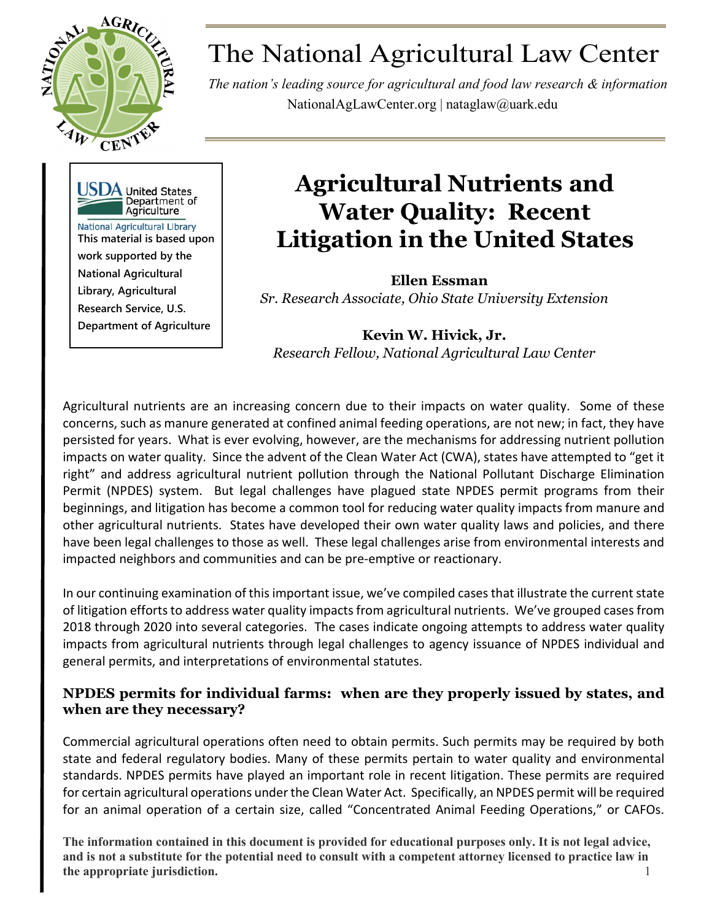

# The National Agricultural Law Center

*The nation's leading source for agricultural and food law research & information* NationalAgLawCenter.org | [nataglaw@uark.edu](mailto:nataglaw@uark.edu)



# **Agricultural Nutrients and Water Quality: Recent Litigation in the United States**

**Ellen Essman**  *Sr. Research Associate, Ohio State University Extension* 

**Kevin W. Hivick, Jr.** *Research Fellow, National Agricultural Law Center*

Agricultural nutrients are an increasing concern due to their impacts on water quality. Some of these concerns, such as manure generated at confined animal feeding operations, are not new; in fact, they have persisted for years. What is ever evolving, however, are the mechanisms for addressing nutrient pollution impacts on water quality. Since the advent of the Clean Water Act (CWA), states have attempted to "get it right" and address agricultural nutrient pollution through the National Pollutant Discharge Elimination Permit (NPDES) system. But legal challenges have plagued state NPDES permit programs from their beginnings, and litigation has become a common tool for reducing water quality impacts from manure and other agricultural nutrients. States have developed their own water quality laws and policies, and there have been legal challenges to those as well. These legal challenges arise from environmental interests and impacted neighbors and communities and can be pre-emptive or reactionary.

In our continuing examination of this important issue, we've compiled cases that illustrate the current state of litigation efforts to address water quality impacts from agricultural nutrients. We've grouped cases from 2018 through 2020 into several categories. The cases indicate ongoing attempts to address water quality impacts from agricultural nutrients through legal challenges to agency issuance of NPDES individual and general permits, and interpretations of environmental statutes.

# **NPDES permits for individual farms: when are they properly issued by states, and when are they necessary?**

Commercial agricultural operations often need to obtain permits. Such permits may be required by both state and federal regulatory bodies. Many of these permits pertain to water quality and environmental standards. NPDES permits have played an important role in recent litigation. These permits are required for certain agricultural operations under the Clean Water Act. Specifically, an NPDES permit will be required for an animal operation of a certain size, called "Concentrated Animal Feeding Operations," or CAFOs.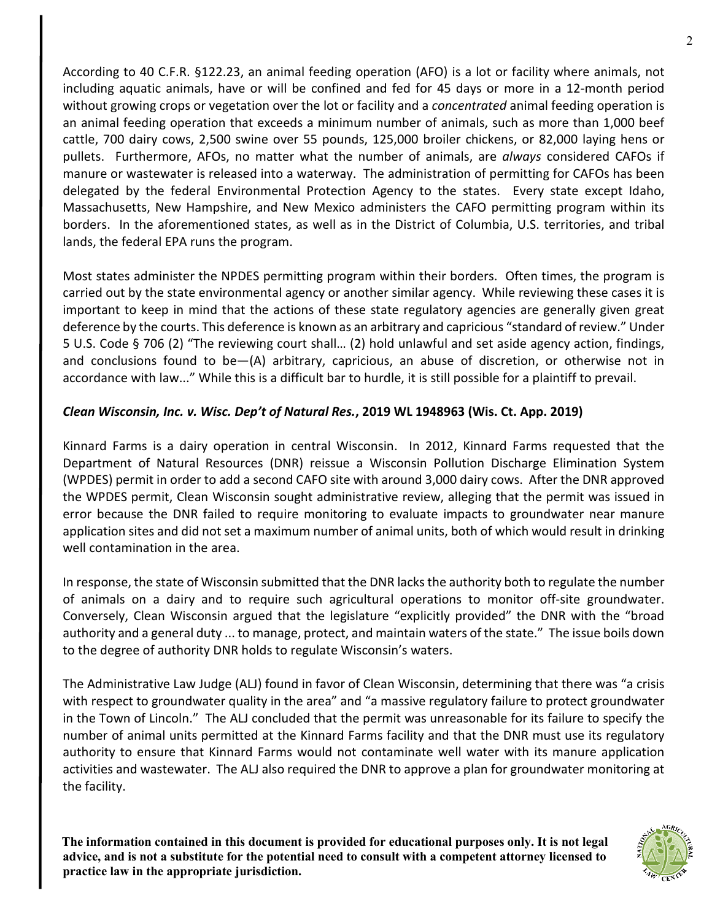According to 40 C.F.R. §122.23, an animal feeding operation (AFO) is a lot or facility where animals, not including aquatic animals, have or will be confined and fed for 45 days or more in a 12-month period without growing crops or vegetation over the lot or facility and a *concentrated* animal feeding operation is an animal feeding operation that exceeds a minimum number of animals, such as more than 1,000 beef cattle, 700 dairy cows, 2,500 swine over 55 pounds, 125,000 broiler chickens, or 82,000 laying hens or pullets. Furthermore, AFOs, no matter what the number of animals, are *always* considered CAFOs if manure or wastewater is released into a waterway. The administration of permitting for CAFOs has been delegated by the federal Environmental Protection Agency to the states. Every state except Idaho, Massachusetts, New Hampshire, and New Mexico administers the CAFO permitting program within its borders. In the aforementioned states, as well as in the District of Columbia, U.S. territories, and tribal lands, the federal EPA runs the program.

Most states administer the NPDES permitting program within their borders. Often times, the program is carried out by the state environmental agency or another similar agency. While reviewing these cases it is important to keep in mind that the actions of these state regulatory agencies are generally given great deference by the courts. This deference is known as an arbitrary and capricious "standard of review." Under 5 U.S. Code § 706 (2) "The reviewing court shall… (2) hold unlawful and set aside agency action, findings, and conclusions found to be—(A) arbitrary, capricious, an abuse of discretion, or otherwise not in accordance with law..." While this is a difficult bar to hurdle, it is still possible for a plaintiff to prevail.

#### *Clean Wisconsin, Inc. v. Wisc. Dep't of Natural Res.***, 2019 WL 1948963 (Wis. Ct. App. 2019)**

Kinnard Farms is a dairy operation in central Wisconsin. In 2012, Kinnard Farms requested that the Department of Natural Resources (DNR) reissue a Wisconsin Pollution Discharge Elimination System (WPDES) permit in order to add a second CAFO site with around 3,000 dairy cows. After the DNR approved the WPDES permit, Clean Wisconsin sought administrative review, alleging that the permit was issued in error because the DNR failed to require monitoring to evaluate impacts to groundwater near manure application sites and did not set a maximum number of animal units, both of which would result in drinking well contamination in the area.

In response, the state of Wisconsin submitted that the DNR lacks the authority both to regulate the number of animals on a dairy and to require such agricultural operations to monitor off-site groundwater. Conversely, Clean Wisconsin argued that the legislature "explicitly provided" the DNR with the "broad authority and a general duty ... to manage, protect, and maintain waters of the state." The issue boils down to the degree of authority DNR holds to regulate Wisconsin's waters.

The Administrative Law Judge (ALJ) found in favor of Clean Wisconsin, determining that there was "a crisis with respect to groundwater quality in the area" and "a massive regulatory failure to protect groundwater in the Town of Lincoln." The ALJ concluded that the permit was unreasonable for its failure to specify the number of animal units permitted at the Kinnard Farms facility and that the DNR must use its regulatory authority to ensure that Kinnard Farms would not contaminate well water with its manure application activities and wastewater. The ALJ also required the DNR to approve a plan for groundwater monitoring at the facility.

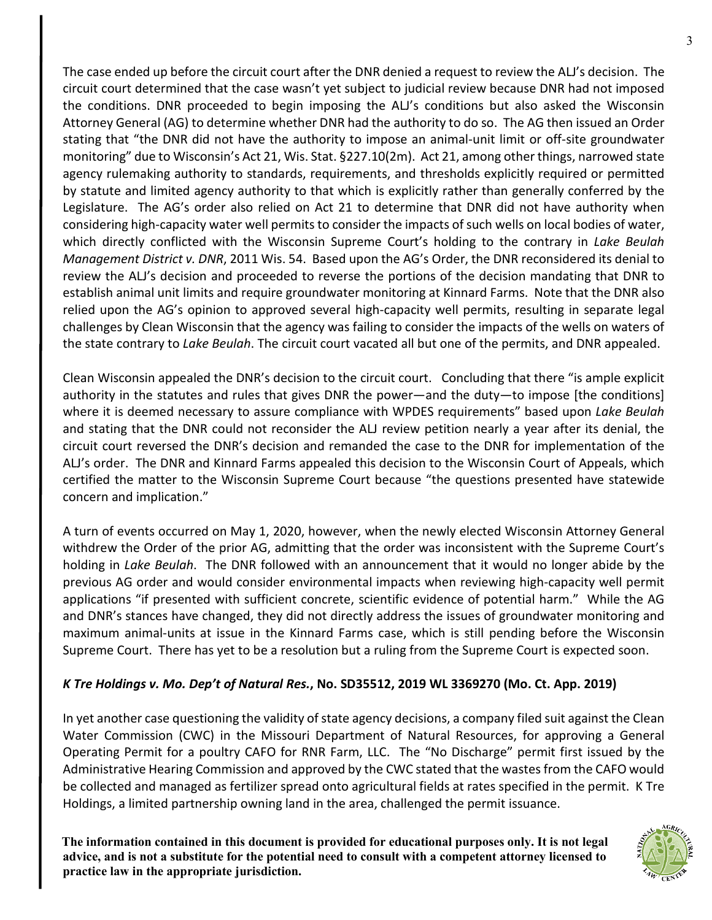The case ended up before the circuit court after the DNR denied a request to review the ALJ's decision. The circuit court determined that the case wasn't yet subject to judicial review because DNR had not imposed the conditions. DNR proceeded to begin imposing the ALJ's conditions but also asked the Wisconsin Attorney General (AG) to determine whether DNR had the authority to do so. The AG then issued an Order stating that "the DNR did not have the authority to impose an animal-unit limit or off-site groundwater monitoring" due to Wisconsin's Act 21, Wis. Stat. §227.10(2m). Act 21, among other things, narrowed state agency rulemaking authority to standards, requirements, and thresholds explicitly required or permitted by statute and limited agency authority to that which is explicitly rather than generally conferred by the Legislature. The AG's order also relied on Act 21 to determine that DNR did not have authority when considering high-capacity water well permits to consider the impacts of such wells on local bodies of water, which directly conflicted with the Wisconsin Supreme Court's holding to the contrary in *Lake Beulah Management District v. DNR*, 2011 Wis. 54. Based upon the AG's Order, the DNR reconsidered its denial to review the ALJ's decision and proceeded to reverse the portions of the decision mandating that DNR to establish animal unit limits and require groundwater monitoring at Kinnard Farms. Note that the DNR also relied upon the AG's opinion to approved several high-capacity well permits, resulting in separate legal challenges by Clean Wisconsin that the agency was failing to consider the impacts of the wells on waters of the state contrary to *Lake Beulah*. The circuit court vacated all but one of the permits, and DNR appealed.

Clean Wisconsin appealed the DNR's decision to the circuit court. Concluding that there "is ample explicit authority in the statutes and rules that gives DNR the power—and the duty—to impose [the conditions] where it is deemed necessary to assure compliance with WPDES requirements" based upon *Lake Beulah* and stating that the DNR could not reconsider the ALJ review petition nearly a year after its denial, the circuit court reversed the DNR's decision and remanded the case to the DNR for implementation of the ALJ's order. The DNR and Kinnard Farms appealed this decision to the Wisconsin Court of Appeals, which certified the matter to the Wisconsin Supreme Court because "the questions presented have statewide concern and implication."

A turn of events occurred on May 1, 2020, however, when the newly elected Wisconsin Attorney General withdrew the Order of the prior AG, admitting that the order was inconsistent with the Supreme Court's holding in *Lake Beulah*. The DNR followed with an announcement that it would no longer abide by the previous AG order and would consider environmental impacts when reviewing high-capacity well permit applications "if presented with sufficient concrete, scientific evidence of potential harm." While the AG and DNR's stances have changed, they did not directly address the issues of groundwater monitoring and maximum animal-units at issue in the Kinnard Farms case, which is still pending before the Wisconsin Supreme Court. There has yet to be a resolution but a ruling from the Supreme Court is expected soon.

#### *K Tre Holdings v. Mo. Dep't of Natural Res.***, No. SD35512, 2019 WL 3369270 (Mo. Ct. App. 2019)**

In yet another case questioning the validity of state agency decisions, a company filed suit against the Clean Water Commission (CWC) in the Missouri Department of Natural Resources, for approving a General Operating Permit for a poultry CAFO for RNR Farm, LLC. The "No Discharge" permit first issued by the Administrative Hearing Commission and approved by the CWC stated that the wastes from the CAFO would be collected and managed as fertilizer spread onto agricultural fields at rates specified in the permit. K Tre Holdings, a limited partnership owning land in the area, challenged the permit issuance.

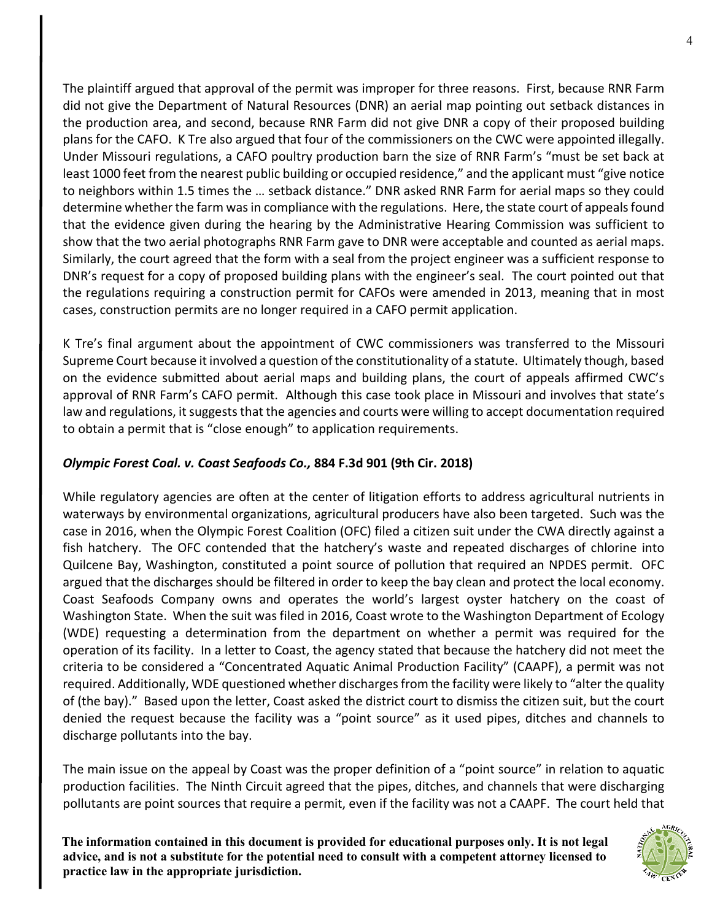The plaintiff argued that approval of the permit was improper for three reasons. First, because RNR Farm did not give the Department of Natural Resources (DNR) an aerial map pointing out setback distances in the production area, and second, because RNR Farm did not give DNR a copy of their proposed building plans for the CAFO. K Tre also argued that four of the commissioners on the CWC were appointed illegally. Under Missouri regulations, a CAFO poultry production barn the size of RNR Farm's "must be set back at least 1000 feet from the nearest public building or occupied residence," and the applicant must "give notice to neighbors within 1.5 times the … setback distance." DNR asked RNR Farm for aerial maps so they could determine whether the farm was in compliance with the regulations. Here, the state court of appeals found that the evidence given during the hearing by the Administrative Hearing Commission was sufficient to show that the two aerial photographs RNR Farm gave to DNR were acceptable and counted as aerial maps. Similarly, the court agreed that the form with a seal from the project engineer was a sufficient response to DNR's request for a copy of proposed building plans with the engineer's seal. The court pointed out that the regulations requiring a construction permit for CAFOs were amended in 2013, meaning that in most cases, construction permits are no longer required in a CAFO permit application.

K Tre's final argument about the appointment of CWC commissioners was transferred to the Missouri Supreme Court because it involved a question of the constitutionality of a statute. Ultimately though, based on the evidence submitted about aerial maps and building plans, the court of appeals affirmed CWC's approval of RNR Farm's CAFO permit. Although this case took place in Missouri and involves that state's law and regulations, it suggests that the agencies and courts were willing to accept documentation required to obtain a permit that is "close enough" to application requirements.

### *Olympic Forest Coal. v. Coast Seafoods Co.,* **884 F.3d 901 (9th Cir. 2018)**

While regulatory agencies are often at the center of litigation efforts to address agricultural nutrients in waterways by environmental organizations, agricultural producers have also been targeted. Such was the case in 2016, when the Olympic Forest Coalition (OFC) filed a citizen suit under the CWA directly against a fish hatchery. The OFC contended that the hatchery's waste and repeated discharges of chlorine into Quilcene Bay, Washington, constituted a point source of pollution that required an NPDES permit. OFC argued that the discharges should be filtered in order to keep the bay clean and protect the local economy. Coast Seafoods Company owns and operates the world's largest oyster hatchery on the coast of Washington State. When the suit was filed in 2016, Coast wrote to the Washington Department of Ecology (WDE) requesting a determination from the department on whether a permit was required for the operation of its facility. In a letter to Coast, the agency stated that because the hatchery did not meet the criteria to be considered a "Concentrated Aquatic Animal Production Facility" (CAAPF), a permit was not required. Additionally, WDE questioned whether discharges from the facility were likely to "alter the quality of (the bay)." Based upon the letter, Coast asked the district court to dismiss the citizen suit, but the court denied the request because the facility was a "point source" as it used pipes, ditches and channels to discharge pollutants into the bay.

The main issue on the appeal by Coast was the proper definition of a "point source" in relation to aquatic production facilities. The Ninth Circuit agreed that the pipes, ditches, and channels that were discharging pollutants are point sources that require a permit, even if the facility was not a CAAPF. The court held that

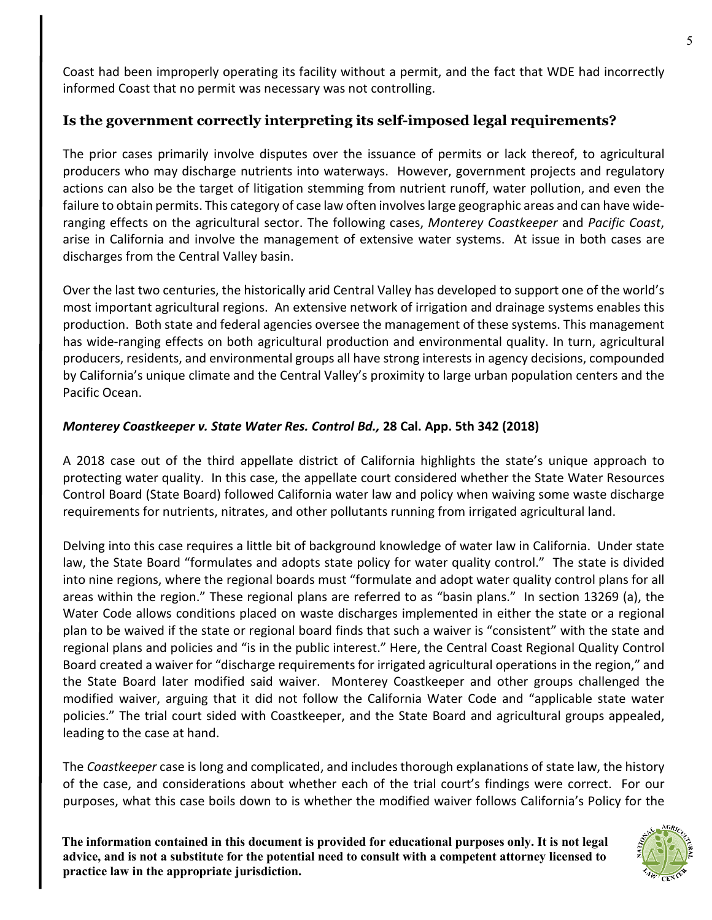Coast had been improperly operating its facility without a permit, and the fact that WDE had incorrectly informed Coast that no permit was necessary was not controlling.

# **Is the government correctly interpreting its self-imposed legal requirements?**

The prior cases primarily involve disputes over the issuance of permits or lack thereof, to agricultural producers who may discharge nutrients into waterways. However, government projects and regulatory actions can also be the target of litigation stemming from nutrient runoff, water pollution, and even the failure to obtain permits. This category of case law often involves large geographic areas and can have wideranging effects on the agricultural sector. The following cases, *Monterey Coastkeeper* and *Pacific Coast*, arise in California and involve the management of extensive water systems. At issue in both cases are discharges from the Central Valley basin.

Over the last two centuries, the historically arid Central Valley has developed to support one of the world's most important agricultural regions. An extensive network of irrigation and drainage systems enables this production. Both state and federal agencies oversee the management of these systems. This management has wide-ranging effects on both agricultural production and environmental quality. In turn, agricultural producers, residents, and environmental groups all have strong interests in agency decisions, compounded by California's unique climate and the Central Valley's proximity to large urban population centers and the Pacific Ocean.

#### *Monterey Coastkeeper v. State Water Res. Control Bd.,* **28 Cal. App. 5th 342 (2018)**

A 2018 case out of the third appellate district of California highlights the state's unique approach to protecting water quality. In this case, the appellate court considered whether the State Water Resources Control Board (State Board) followed California water law and policy when waiving some waste discharge requirements for nutrients, nitrates, and other pollutants running from irrigated agricultural land.

Delving into this case requires a little bit of background knowledge of water law in California. Under state law, the State Board "formulates and adopts state policy for water quality control." The state is divided into nine regions, where the regional boards must "formulate and adopt water quality control plans for all areas within the region." These regional plans are referred to as "basin plans." In section 13269 (a), the Water Code allows conditions placed on waste discharges implemented in either the state or a regional plan to be waived if the state or regional board finds that such a waiver is "consistent" with the state and regional plans and policies and "is in the public interest." Here, the Central Coast Regional Quality Control Board created a waiver for "discharge requirements for irrigated agricultural operations in the region," and the State Board later modified said waiver. Monterey Coastkeeper and other groups challenged the modified waiver, arguing that it did not follow the California Water Code and "applicable state water policies." The trial court sided with Coastkeeper, and the State Board and agricultural groups appealed, leading to the case at hand.

The *Coastkeeper* case is long and complicated, and includes thorough explanations of state law, the history of the case, and considerations about whether each of the trial court's findings were correct. For our purposes, what this case boils down to is whether the modified waiver follows California's Policy for the

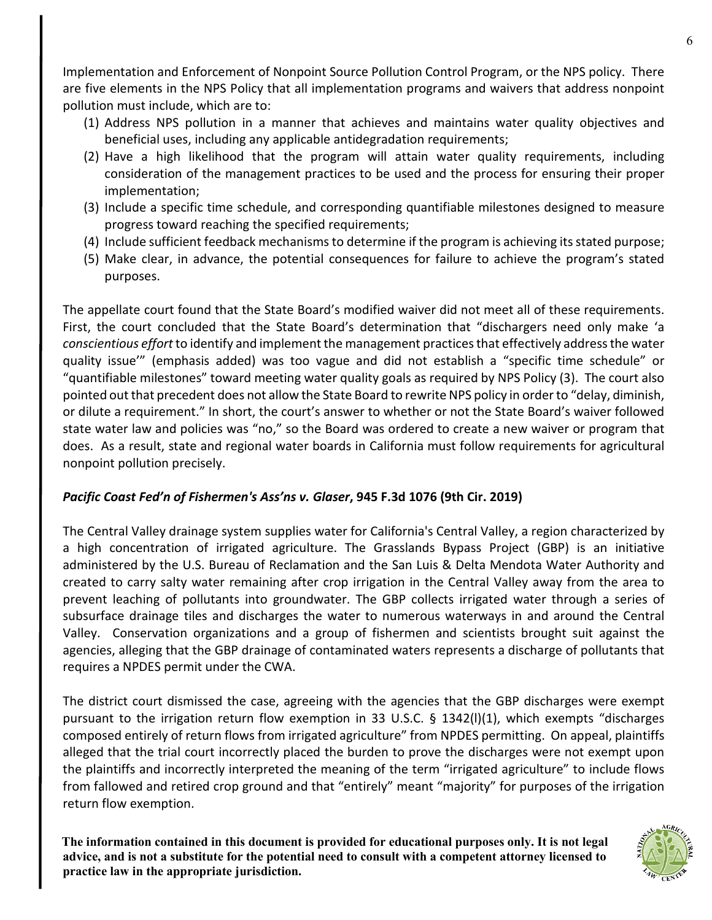Implementation and Enforcement of Nonpoint Source Pollution Control Program, or the NPS policy. There are five elements in the NPS Policy that all implementation programs and waivers that address nonpoint pollution must include, which are to:

- (1) Address NPS pollution in a manner that achieves and maintains water quality objectives and beneficial uses, including any applicable antidegradation requirements;
- (2) Have a high likelihood that the program will attain water quality requirements, including consideration of the management practices to be used and the process for ensuring their proper implementation;
- (3) Include a specific time schedule, and corresponding quantifiable milestones designed to measure progress toward reaching the specified requirements;
- (4) Include sufficient feedback mechanisms to determine if the program is achieving its stated purpose;
- (5) Make clear, in advance, the potential consequences for failure to achieve the program's stated purposes.

The appellate court found that the State Board's modified waiver did not meet all of these requirements. First, the court concluded that the State Board's determination that "dischargers need only make 'a *conscientious effort* to identify and implement the management practices that effectively address the water quality issue'" (emphasis added) was too vague and did not establish a "specific time schedule" or "quantifiable milestones" toward meeting water quality goals as required by NPS Policy (3). The court also pointed out that precedent does not allow the State Board to rewrite NPS policy in order to "delay, diminish, or dilute a requirement." In short, the court's answer to whether or not the State Board's waiver followed state water law and policies was "no," so the Board was ordered to create a new waiver or program that does. As a result, state and regional water boards in California must follow requirements for agricultural nonpoint pollution precisely.

#### *Pacific Coast Fed'n of Fishermen's Ass'ns v. Glaser***, 945 F.3d 1076 (9th Cir. 2019)**

The Central Valley drainage system supplies water for California's Central Valley, a region characterized by a high concentration of irrigated agriculture. The Grasslands Bypass Project (GBP) is an initiative administered by the U.S. Bureau of Reclamation and the San Luis & Delta Mendota Water Authority and created to carry salty water remaining after crop irrigation in the Central Valley away from the area to prevent leaching of pollutants into groundwater. The GBP collects irrigated water through a series of subsurface drainage tiles and discharges the water to numerous waterways in and around the Central Valley. Conservation organizations and a group of fishermen and scientists brought suit against the agencies, alleging that the GBP drainage of contaminated waters represents a discharge of pollutants that requires a NPDES permit under the CWA.

The district court dismissed the case, agreeing with the agencies that the GBP discharges were exempt pursuant to the irrigation return flow exemption in 33 U.S.C. § 1342(l)(1), which exempts "discharges composed entirely of return flows from irrigated agriculture" from NPDES permitting. On appeal, plaintiffs alleged that the trial court incorrectly placed the burden to prove the discharges were not exempt upon the plaintiffs and incorrectly interpreted the meaning of the term "irrigated agriculture" to include flows from fallowed and retired crop ground and that "entirely" meant "majority" for purposes of the irrigation return flow exemption.

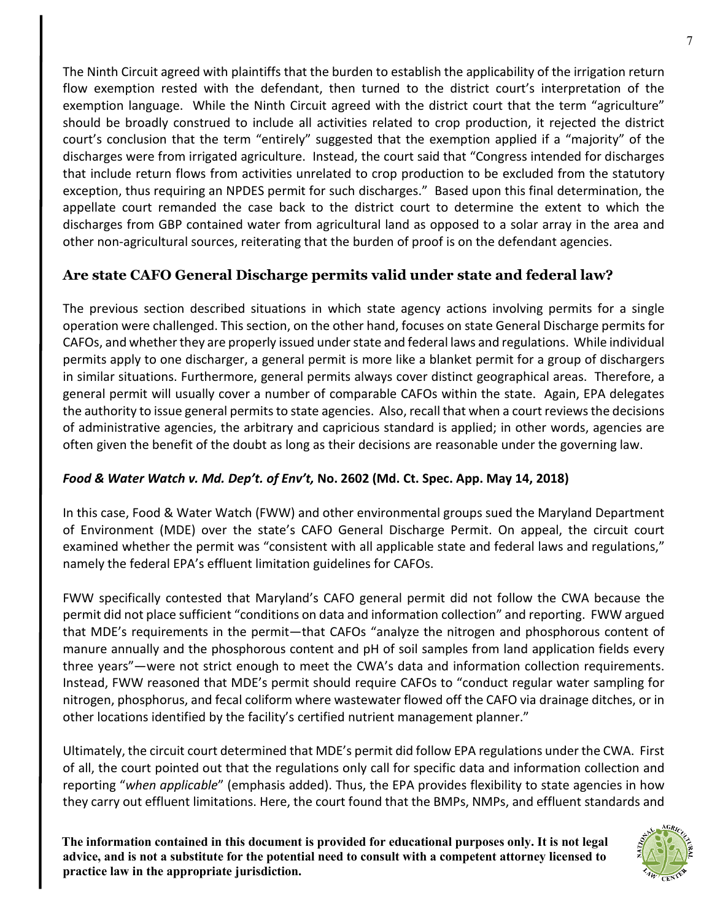The Ninth Circuit agreed with plaintiffs that the burden to establish the applicability of the irrigation return flow exemption rested with the defendant, then turned to the district court's interpretation of the exemption language. While the Ninth Circuit agreed with the district court that the term "agriculture" should be broadly construed to include all activities related to crop production, it rejected the district court's conclusion that the term "entirely" suggested that the exemption applied if a "majority" of the discharges were from irrigated agriculture. Instead, the court said that "Congress intended for discharges that include return flows from activities unrelated to crop production to be excluded from the statutory exception, thus requiring an NPDES permit for such discharges." Based upon this final determination, the appellate court remanded the case back to the district court to determine the extent to which the discharges from GBP contained water from agricultural land as opposed to a solar array in the area and other non-agricultural sources, reiterating that the burden of proof is on the defendant agencies.

# **Are state CAFO General Discharge permits valid under state and federal law?**

The previous section described situations in which state agency actions involving permits for a single operation were challenged. This section, on the other hand, focuses on state General Discharge permits for CAFOs, and whether they are properly issued under state and federal laws and regulations. While individual permits apply to one discharger, a general permit is more like a blanket permit for a group of dischargers in similar situations. Furthermore, general permits always cover distinct geographical areas. Therefore, a general permit will usually cover a number of comparable CAFOs within the state. Again, EPA delegates the authority to issue general permits to state agencies. Also, recall that when a court reviews the decisions of administrative agencies, the arbitrary and capricious standard is applied; in other words, agencies are often given the benefit of the doubt as long as their decisions are reasonable under the governing law.

# *Food & Water Watch v. Md. Dep't. of Env't,* **No. 2602 (Md. Ct. Spec. App. May 14, 2018)**

In this case, Food & Water Watch (FWW) and other environmental groups sued the Maryland Department of Environment (MDE) over the state's CAFO General Discharge Permit. On appeal, the circuit court examined whether the permit was "consistent with all applicable state and federal laws and regulations," namely the federal EPA's effluent limitation guidelines for CAFOs.

FWW specifically contested that Maryland's CAFO general permit did not follow the CWA because the permit did not place sufficient "conditions on data and information collection" and reporting. FWW argued that MDE's requirements in the permit—that CAFOs "analyze the nitrogen and phosphorous content of manure annually and the phosphorous content and pH of soil samples from land application fields every three years"—were not strict enough to meet the CWA's data and information collection requirements. Instead, FWW reasoned that MDE's permit should require CAFOs to "conduct regular water sampling for nitrogen, phosphorus, and fecal coliform where wastewater flowed off the CAFO via drainage ditches, or in other locations identified by the facility's certified nutrient management planner."

Ultimately, the circuit court determined that MDE's permit did follow EPA regulations under the CWA. First of all, the court pointed out that the regulations only call for specific data and information collection and reporting "*when applicable*" (emphasis added). Thus, the EPA provides flexibility to state agencies in how they carry out effluent limitations. Here, the court found that the BMPs, NMPs, and effluent standards and

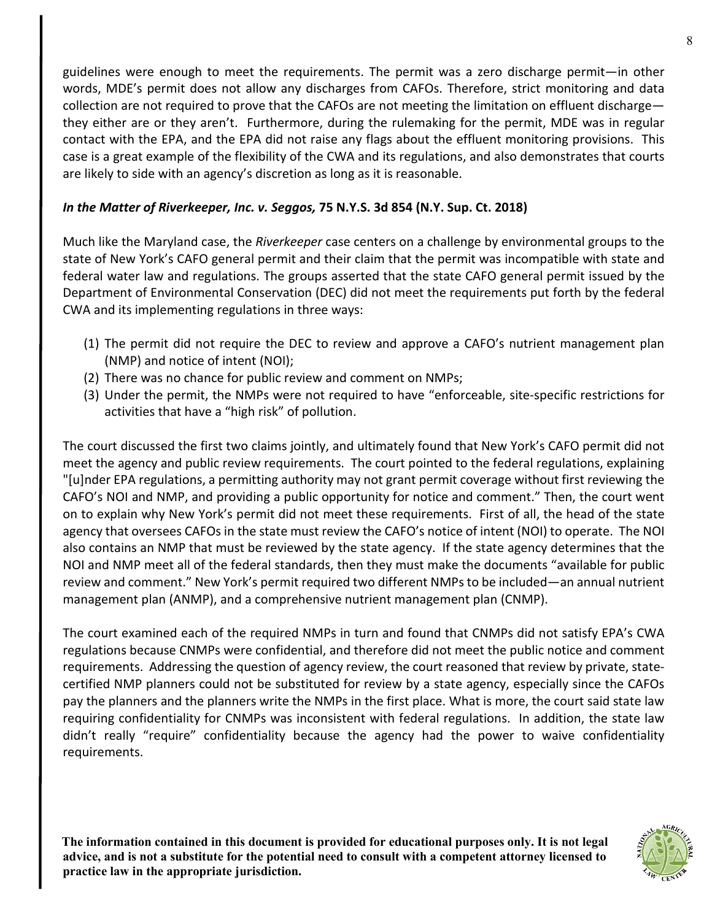guidelines were enough to meet the requirements. The permit was a zero discharge permit—in other words, MDE's permit does not allow any discharges from CAFOs. Therefore, strict monitoring and data collection are not required to prove that the CAFOs are not meeting the limitation on effluent discharge they either are or they aren't. Furthermore, during the rulemaking for the permit, MDE was in regular contact with the EPA, and the EPA did not raise any flags about the effluent monitoring provisions. This case is a great example of the flexibility of the CWA and its regulations, and also demonstrates that courts are likely to side with an agency's discretion as long as it is reasonable.

#### *In the Matter of Riverkeeper, Inc. v. Seggos,* **75 N.Y.S. 3d 854 (N.Y. Sup. Ct. 2018)**

Much like the Maryland case, the *Riverkeeper* case centers on a challenge by environmental groups to the state of New York's CAFO general permit and their claim that the permit was incompatible with state and federal water law and regulations. The groups asserted that the state CAFO general permit issued by the Department of Environmental Conservation (DEC) did not meet the requirements put forth by the federal CWA and its implementing regulations in three ways:

- (1) The permit did not require the DEC to review and approve a CAFO's nutrient management plan (NMP) and notice of intent (NOI);
- (2) There was no chance for public review and comment on NMPs;
- (3) Under the permit, the NMPs were not required to have "enforceable, site-specific restrictions for activities that have a "high risk" of pollution.

The court discussed the first two claims jointly, and ultimately found that New York's CAFO permit did not meet the agency and public review requirements. The court pointed to the federal regulations, explaining "[u]nder EPA regulations, a permitting authority may not grant permit coverage without first reviewing the CAFO's NOI and NMP, and providing a public opportunity for notice and comment." Then, the court went on to explain why New York's permit did not meet these requirements. First of all, the head of the state agency that oversees CAFOs in the state must review the CAFO's notice of intent (NOI) to operate. The NOI also contains an NMP that must be reviewed by the state agency. If the state agency determines that the NOI and NMP meet all of the federal standards, then they must make the documents "available for public review and comment." New York's permit required two different NMPs to be included—an annual nutrient management plan (ANMP), and a comprehensive nutrient management plan (CNMP).

The court examined each of the required NMPs in turn and found that CNMPs did not satisfy EPA's CWA regulations because CNMPs were confidential, and therefore did not meet the public notice and comment requirements. Addressing the question of agency review, the court reasoned that review by private, statecertified NMP planners could not be substituted for review by a state agency, especially since the CAFOs pay the planners and the planners write the NMPs in the first place. What is more, the court said state law requiring confidentiality for CNMPs was inconsistent with federal regulations. In addition, the state law didn't really "require" confidentiality because the agency had the power to waive confidentiality requirements.

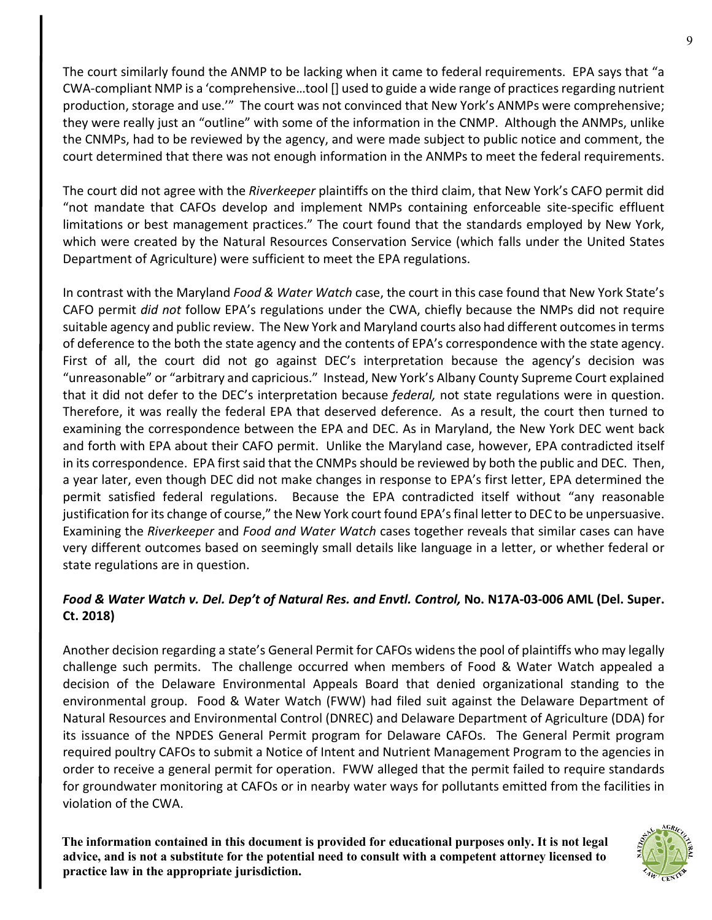The court similarly found the ANMP to be lacking when it came to federal requirements. EPA says that "a CWA-compliant NMP is a 'comprehensive…tool [] used to guide a wide range of practices regarding nutrient production, storage and use.'" The court was not convinced that New York's ANMPs were comprehensive; they were really just an "outline" with some of the information in the CNMP. Although the ANMPs, unlike the CNMPs, had to be reviewed by the agency, and were made subject to public notice and comment, the court determined that there was not enough information in the ANMPs to meet the federal requirements.

The court did not agree with the *Riverkeeper* plaintiffs on the third claim, that New York's CAFO permit did "not mandate that CAFOs develop and implement NMPs containing enforceable site-specific effluent limitations or best management practices." The court found that the standards employed by New York, which were created by the Natural Resources Conservation Service (which falls under the United States Department of Agriculture) were sufficient to meet the EPA regulations.

In contrast with the Maryland *Food & Water Watch* case, the court in this case found that New York State's CAFO permit *did not* follow EPA's regulations under the CWA, chiefly because the NMPs did not require suitable agency and public review. The New York and Maryland courts also had different outcomes in terms of deference to the both the state agency and the contents of EPA's correspondence with the state agency. First of all, the court did not go against DEC's interpretation because the agency's decision was "unreasonable" or "arbitrary and capricious." Instead, New York's Albany County Supreme Court explained that it did not defer to the DEC's interpretation because *federal,* not state regulations were in question. Therefore, it was really the federal EPA that deserved deference. As a result, the court then turned to examining the correspondence between the EPA and DEC. As in Maryland, the New York DEC went back and forth with EPA about their CAFO permit. Unlike the Maryland case, however, EPA contradicted itself in its correspondence. EPA first said that the CNMPs should be reviewed by both the public and DEC. Then, a year later, even though DEC did not make changes in response to EPA's first letter, EPA determined the permit satisfied federal regulations. Because the EPA contradicted itself without "any reasonable justification for its change of course," the New York court found EPA's final letter to DEC to be unpersuasive. Examining the *Riverkeeper* and *Food and Water Watch* cases together reveals that similar cases can have very different outcomes based on seemingly small details like language in a letter, or whether federal or state regulations are in question.

# *Food & Water Watch v. Del. Dep't of Natural Res. and Envtl. Control,* **No. N17A-03-006 AML (Del. Super. Ct. 2018)**

Another decision regarding a state's General Permit for CAFOs widens the pool of plaintiffs who may legally challenge such permits. The challenge occurred when members of Food & Water Watch appealed a decision of the Delaware Environmental Appeals Board that denied organizational standing to the environmental group. Food & Water Watch (FWW) had filed suit against the Delaware Department of Natural Resources and Environmental Control (DNREC) and Delaware Department of Agriculture (DDA) for its issuance of the NPDES General Permit program for Delaware CAFOs. The General Permit program required poultry CAFOs to submit a Notice of Intent and Nutrient Management Program to the agencies in order to receive a general permit for operation. FWW alleged that the permit failed to require standards for groundwater monitoring at CAFOs or in nearby water ways for pollutants emitted from the facilities in violation of the CWA.

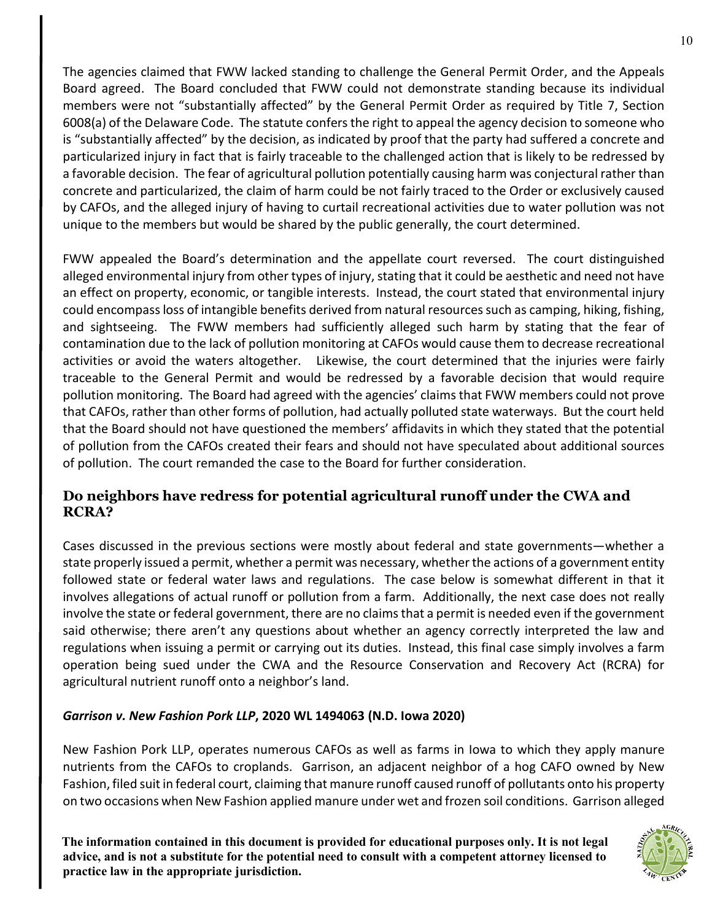The agencies claimed that FWW lacked standing to challenge the General Permit Order, and the Appeals Board agreed. The Board concluded that FWW could not demonstrate standing because its individual members were not "substantially affected" by the General Permit Order as required by Title 7, Section 6008(a) of the Delaware Code. The statute confers the right to appeal the agency decision to someone who is "substantially affected" by the decision, as indicated by proof that the party had suffered a concrete and particularized injury in fact that is fairly traceable to the challenged action that is likely to be redressed by a favorable decision. The fear of agricultural pollution potentially causing harm was conjectural rather than concrete and particularized, the claim of harm could be not fairly traced to the Order or exclusively caused by CAFOs, and the alleged injury of having to curtail recreational activities due to water pollution was not unique to the members but would be shared by the public generally, the court determined.

FWW appealed the Board's determination and the appellate court reversed. The court distinguished alleged environmental injury from other types of injury, stating that it could be aesthetic and need not have an effect on property, economic, or tangible interests. Instead, the court stated that environmental injury could encompass loss of intangible benefits derived from natural resources such as camping, hiking, fishing, and sightseeing. The FWW members had sufficiently alleged such harm by stating that the fear of contamination due to the lack of pollution monitoring at CAFOs would cause them to decrease recreational activities or avoid the waters altogether. Likewise, the court determined that the injuries were fairly traceable to the General Permit and would be redressed by a favorable decision that would require pollution monitoring. The Board had agreed with the agencies' claims that FWW members could not prove that CAFOs, rather than other forms of pollution, had actually polluted state waterways. But the court held that the Board should not have questioned the members' affidavits in which they stated that the potential of pollution from the CAFOs created their fears and should not have speculated about additional sources of pollution. The court remanded the case to the Board for further consideration.

# **Do neighbors have redress for potential agricultural runoff under the CWA and RCRA?**

Cases discussed in the previous sections were mostly about federal and state governments—whether a state properly issued a permit, whether a permit was necessary, whether the actions of a government entity followed state or federal water laws and regulations. The case below is somewhat different in that it involves allegations of actual runoff or pollution from a farm. Additionally, the next case does not really involve the state or federal government, there are no claims that a permit is needed even if the government said otherwise; there aren't any questions about whether an agency correctly interpreted the law and regulations when issuing a permit or carrying out its duties. Instead, this final case simply involves a farm operation being sued under the CWA and the Resource Conservation and Recovery Act (RCRA) for agricultural nutrient runoff onto a neighbor's land.

#### *Garrison v. New Fashion Pork LLP***, 2020 WL 1494063 (N.D. Iowa 2020)**

New Fashion Pork LLP, operates numerous CAFOs as well as farms in Iowa to which they apply manure nutrients from the CAFOs to croplands. Garrison, an adjacent neighbor of a hog CAFO owned by New Fashion, filed suit in federal court, claiming that manure runoff caused runoff of pollutants onto his property on two occasions when New Fashion applied manure under wet and frozen soil conditions. Garrison alleged